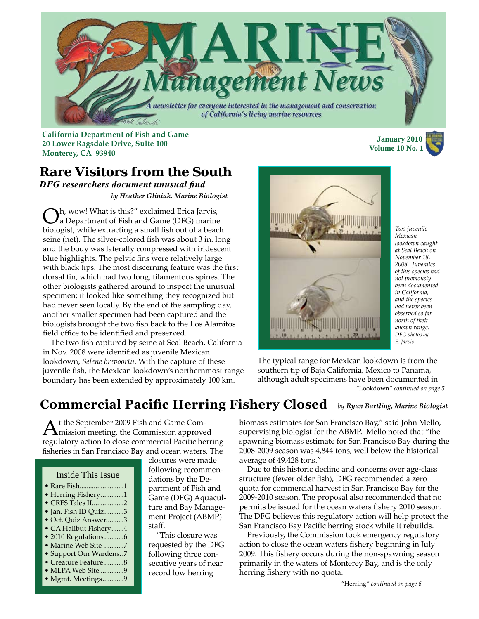

**California Department of Fish and Game 20 Lower Ragsdale Drive, Suite 100 Monterey, CA 93940**

 **January 2010 Volume 10 No. 1**

#### **Rare Visitors from the South** *DFG researchers document unusual find by Heather Gliniak, Marine Biologist*

Oh, wow! What is this?" exclaimed Erica Jarvis, a Department of Fish and Game (DFG) marine biologist, while extracting a small fish out of a beach seine (net). The silver-colored fish was about 3 in. long and the body was laterally compressed with iridescent blue highlights. The pelvic fins were relatively large with black tips. The most discerning feature was the first dorsal fin, which had two long, filamentous spines. The other biologists gathered around to inspect the unusual specimen; it looked like something they recognized but had never seen locally. By the end of the sampling day, another smaller specimen had been captured and the biologists brought the two fish back to the Los Alamitos field office to be identified and preserved.

 The two fish captured by seine at Seal Beach, California in Nov. 2008 were identified as juvenile Mexican lookdown, *Selene brevoortii*. With the capture of these juvenile fish, the Mexican lookdown's northernmost range boundary has been extended by approximately 100 km.



*Two juvenile Mexican lookdown caught at Seal Beach on November 18, 2008. Juveniles of this species had not previously been documented in California, and the species had never been observed so far north of their known range. DFG photos by E. Jarvis*

*"*Lookdown*[" continued on page 5](#page-4-0)* The typical range for Mexican lookdown is from the southern tip of Baja California, Mexico to Panama, although adult specimens have been documented in

## **Commercial Pacific Herring Fishery Closed** *by Ryan Bartling, Marine Biologist*

At the September 2009 Fish and Game Com-mission meeting, the Commission approved regulatory action to close commercial Pacific herring fisheries in San Francisco Bay and ocean waters. The

#### Inside This Issue

- Rare Fish.........................1
- Herring Fishery.............1
- [CRFS Tales II](#page-1-0)..................2
- Jan. Fish ID Quiz...........3 [• Oct. Quiz Answer.](#page-2-0).........3
- [CA Halibut Fishery](#page-3-0).......4
- [2010 Regulations](#page-5-0) ...........6
- Marine Web Site ...........7
- • [Support Our Wardens.](#page-5-0).7
- [Creature Feature](#page-7-0) ...........8
- MLPA Web Site..............9 [• Mgmt. Meetings](#page-8-0)............9
- following recommendations by the Department of Fish and Game (DFG) Aquaculture and Bay Management Project (ABMP) staff.

closures were made

 "This closure was requested by the DFG following three consecutive years of near record low herring

biomass estimates for San Francisco Bay," said John Mello, supervising biologist for the ABMP. Mello noted that "the spawning biomass estimate for San Francisco Bay during the 2008-2009 season was 4,844 tons, well below the historical average of 49,428 tons."

 Due to this historic decline and concerns over age-class structure (fewer older fish), DFG recommended a zero quota for commercial harvest in San Francisco Bay for the 2009-2010 season. The proposal also recommended that no permits be issued for the ocean waters fishery 2010 season. The DFG believes this regulatory action will help protect the San Francisco Bay Pacific herring stock while it rebuilds.

 Previously, the Commission took emergency regulatory action to close the ocean waters fishery beginning in July 2009. This fishery occurs during the non-spawning season primarily in the waters of Monterey Bay, and is the only herring fishery with no quota.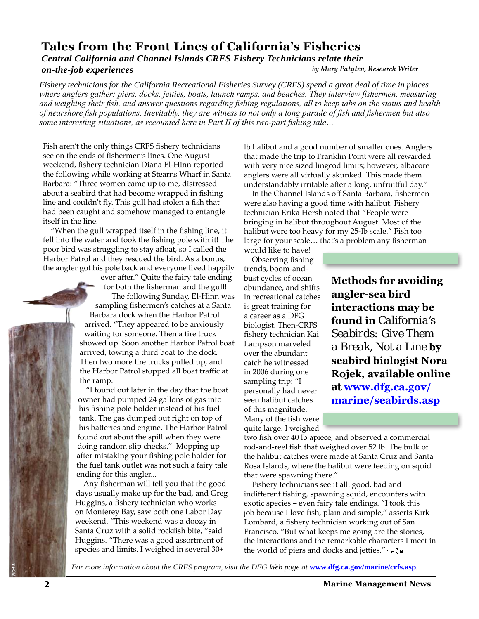## <span id="page-1-0"></span>**Tales from the Front Lines of California's Fisheries**

#### *by Mary Patyten, Research Writer Central California and Channel Islands CRFS Fishery Technicians relate their on-the-job experiences*

*Fishery technicians for the California Recreational Fisheries Survey (CRFS) spend a great deal of time in places where anglers gather: piers, docks, jetties, boats, launch ramps, and beaches. They interview fishermen, measuring and weighing their fish, and answer questions regarding fishing regulations, all to keep tabs on the status and health of nearshore fish populations. Inevitably, they are witness to not only a long parade of fish and fishermen but also some interesting situations, as recounted here in Part II of this two-part fishing tale…*

Fish aren't the only things CRFS fishery technicians see on the ends of fishermen's lines. One August weekend, fishery technician Diana El-Hinn reported the following while working at Stearns Wharf in Santa Barbara: "Three women came up to me, distressed about a seabird that had become wrapped in fishing line and couldn't fly. This gull had stolen a fish that had been caught and somehow managed to entangle itself in the line.

 "When the gull wrapped itself in the fishing line, it fell into the water and took the fishing pole with it! The poor bird was struggling to stay afloat, so I called the Harbor Patrol and they rescued the bird. As a bonus, the angler got his pole back and everyone lived happily

> ever after." Quite the fairy tale ending for both the fisherman and the gull! The following Sunday, El-Hinn was sampling fishermen's catches at a Santa Barbara dock when the Harbor Patrol arrived. "They appeared to be anxiously waiting for someone. Then a fire truck showed up. Soon another Harbor Patrol boat arrived, towing a third boat to the dock. Then two more fire trucks pulled up, and the Harbor Patrol stopped all boat traffic at the ramp.

 "I found out later in the day that the boat owner had pumped 24 gallons of gas into his fishing pole holder instead of his fuel tank. The gas dumped out right on top of his batteries and engine. The Harbor Patrol found out about the spill when they were doing random slip checks." Mopping up after mistaking your fishing pole holder for the fuel tank outlet was not such a fairy tale ending for this angler...

 Any fisherman will tell you that the good days usually make up for the bad, and Greg Huggins, a fishery technician who works on Monterey Bay, saw both one Labor Day weekend. "This weekend was a doozy in Santa Cruz with a solid rockfish bite, "said Huggins. "There was a good assortment of species and limits. I weighed in several 30+

lb halibut and a good number of smaller ones. Anglers that made the trip to Franklin Point were all rewarded with very nice sized lingcod limits; however, albacore anglers were all virtually skunked. This made them understandably irritable after a long, unfruitful day."

 In the Channel Islands off Santa Barbara, fishermen were also having a good time with halibut. Fishery technician Erika Hersh noted that "People were bringing in halibut throughout August. Most of the halibut were too heavy for my 25-lb scale." Fish too large for your scale… that's a problem any fisherman

would like to have!

 Observing fishing trends, boom-andbust cycles of ocean abundance, and shifts in recreational catches is great training for a career as a DFG biologist. Then-CRFS fishery technician Kai Lampson marveled over the abundant catch he witnessed in 2006 during one sampling trip: "I personally had never seen halibut catches of this magnitude. Many of the fish were quite large. I weighed

**Methods for avoiding angler-sea bird interactions may be found in** *California's Seabirds: Give Them a Break, Not a Line* **by seabird biologist Nora Rojek, available online at www.dfg.ca.gov/ marine/seabirds.asp** 

two fish over 40 lb apiece, and observed a commercial rod-and-reel fish that weighed over 52 lb. The bulk of the halibut catches were made at Santa Cruz and Santa Rosa Islands, where the halibut were feeding on squid that were spawning there."

 Fishery technicians see it all: good, bad and indifferent fishing, spawning squid, encounters with exotic species – even fairy tale endings. "I took this job because I love fish, plain and simple," asserts Kirk Lombard, a fishery technician working out of San Francisco. "But what keeps me going are the stories, the interactions and the remarkable characters I meet in the world of piers and docks and jetties."  $\cdot \cdot \cdot$ 

For more information about the CRFS program, visit the DFG Web page at **www.dfg.ca.gov/marine/crfs.asp**.

*NOAA*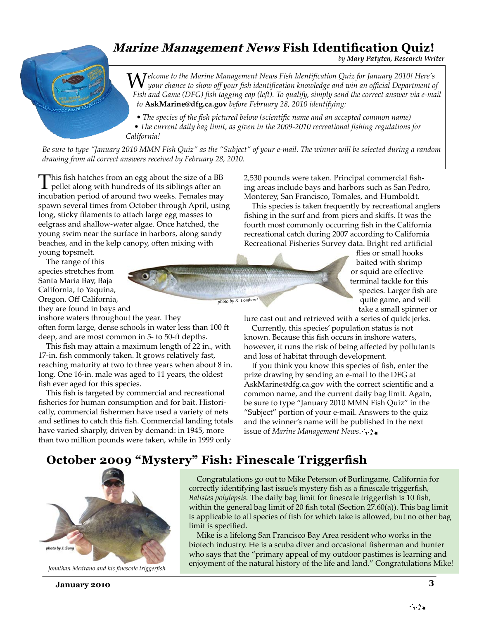## <span id="page-2-0"></span>**Marine Management News Fish Identification Quiz!**

*by Mary Patyten, Research Writer*

Welcome to the Marine Management News Fish Identification Quiz for January 2010! Here's<br>*W*your chance to show off your fish identification knowledge and win an official Department of *Fish and Game (DFG) fish tagging cap (left). To qualify, simply send the correct answer via e-mail to* **AskMarine@dfg.ca.gov** *before February 28, 2010 identifying:*

*• The species of the fish pictured below (scientific name and an accepted common name) • The current daily bag limit, as given in the 2009-2010 recreational fishing regulations for California!*

*Be sure to type "January 2010 MMN Fish Quiz" as the "Subject" of your e-mail. The winner will be selected during a random drawing from all correct answers received by February 28, 2010.*

*photo by K. Lombard*

This fish hatches from an egg about the size of a BB pellet along with hundreds of its siblings after an incubation period of around two weeks. Females may spawn several times from October through April, using long, sticky filaments to attach large egg masses to eelgrass and shallow-water algae. Once hatched, the young swim near the surface in harbors, along sandy beaches, and in the kelp canopy, often mixing with young topsmelt.

 The range of this species stretches from Santa Maria Bay, Baja California, to Yaquina, Oregon. Off California, they are found in bays and

inshore waters throughout the year. They often form large, dense schools in water less than 100 ft deep, and are most common in 5- to 50-ft depths.

 This fish may attain a maximum length of 22 in., with 17-in. fish commonly taken. It grows relatively fast, reaching maturity at two to three years when about 8 in. long. One 16-in. male was aged to 11 years, the oldest fish ever aged for this species.

 This fish is targeted by commercial and recreational fisheries for human consumption and for bait. Historically, commercial fishermen have used a variety of nets and setlines to catch this fish. Commercial landing totals have varied sharply, driven by demand: in 1945, more than two million pounds were taken, while in 1999 only

2,530 pounds were taken. Principal commercial fishing areas include bays and harbors such as San Pedro, Monterey, San Francisco, Tomales, and Humboldt.

 This species is taken frequently by recreational anglers fishing in the surf and from piers and skiffs. It was the fourth most commonly occurring fish in the California recreational catch during 2007 according to California Recreational Fisheries Survey data. Bright red artificial

flies or small hooks baited with shrimp or squid are effective terminal tackle for this species. Larger fish are quite game, and will take a small spinner or

lure cast out and retrieved with a series of quick jerks.

 Currently, this species' population status is not known. Because this fish occurs in inshore waters, however, it runs the risk of being affected by pollutants and loss of habitat through development.

 If you think you know this species of fish, enter the prize drawing by sending an e-mail to the DFG at AskMarine@dfg.ca.gov with the correct scientific and a common name, and the current daily bag limit. Again, be sure to type "January 2010 MMN Fish Quiz" in the "Subject" portion of your e-mail. Answers to the quiz and the winner's name will be published in the next issue of *Marine Management News*.

### **October 2009 "Mystery" Fish: Finescale Triggerfish**



*Jonathan Medrano and his finescale triggerfish*

 Congratulations go out to Mike Peterson of Burlingame, California for correctly identifying last issue's mystery fish as a finescale triggerfish, *Balistes polylepsis*. The daily bag limit for finescale triggerfish is 10 fish, within the general bag limit of 20 fish total (Section 27.60(a)). This bag limit is applicable to all species of fish for which take is allowed, but no other bag limit is specified.

 Mike is a lifelong San Francisco Bay Area resident who works in the biotech industry. He is a scuba diver and occasional fisherman and hunter who says that the "primary appeal of my outdoor pastimes is learning and enjoyment of the natural history of the life and land." Congratulations Mike!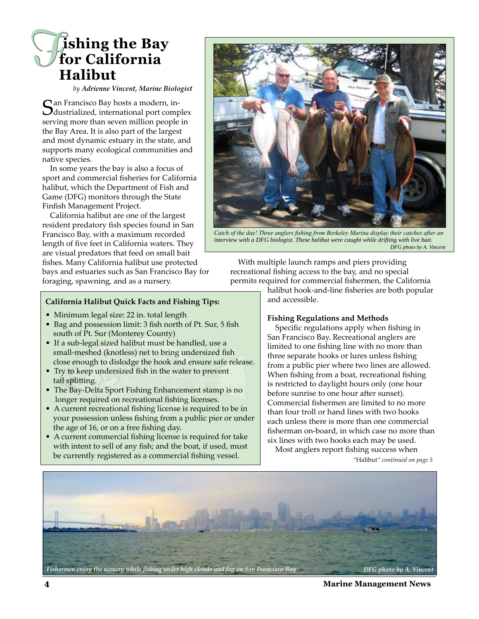## <span id="page-3-0"></span>*F* **ishing the Bay for California Halibut**

*by Adrienne Vincent, Marine Biologist*

Can Francisco Bay hosts a modern, in- $\bigcup$  dustrialized, international port complex serving more than seven million people in the Bay Area. It is also part of the largest and most dynamic estuary in the state, and supports many ecological communities and native species.

 In some years the bay is also a focus of sport and commercial fisheries for California halibut, which the Department of Fish and Game (DFG) monitors through the State Finfish Management Project.

 California halibut are one of the largest resident predatory fish species found in San Francisco Bay, with a maximum recorded length of five feet in California waters. They are visual predators that feed on small bait fishes. Many California halibut use protected bays and estuaries such as San Francisco Bay for foraging, spawning, and as a nursery.



*Catch of the day! Three anglers fishing from Berkeley Marina display their catches after an interview with a DFG biologist. These halibut were caught while drifting with live bait. DFG photo by A. Vincent*

 With multiple launch ramps and piers providing recreational fishing access to the bay, and no special permits required for commercial fishermen, the California

halibut hook-and-line fisheries are both popular and accessible.

#### **California Halibut Quick Facts and Fishing Tips:**

- Minimum legal size: 22 in. total length
- Bag and possession limit: 3 fish north of Pt. Sur, 5 fish south of Pt. Sur (Monterey County)
- If a sub-legal sized halibut must be handled, use a small-meshed (knotless) net to bring undersized fish close enough to dislodge the hook and ensure safe release.
- Try to keep undersized fish in the water to prevent tail splitting.
- The Bay-Delta Sport Fishing Enhancement stamp is no longer required on recreational fishing licenses.
- A current recreational fishing license is required to be in your possession unless fishing from a public pier or under the age of 16, or on a free fishing day.
- A current commercial fishing license is required for take with intent to sell of any fish; and the boat, if used, must be currently registered as a commercial fishing vessel.

#### **Fishing Regulations and Methods**

 Specific regulations apply when fishing in San Francisco Bay. Recreational anglers are limited to one fishing line with no more than three separate hooks or lures unless fishing from a public pier where two lines are allowed. When fishing from a boat, recreational fishing is restricted to daylight hours only (one hour before sunrise to one hour after sunset). Commercial fishermen are limited to no more than four troll or hand lines with two hooks each unless there is more than one commercial fisherman on-board, in which case no more than six lines with two hooks each may be used.

Most anglers report fishing success when

*"*Halibut*[" continued on page 5](#page-4-0)*



**4 Marine Management News**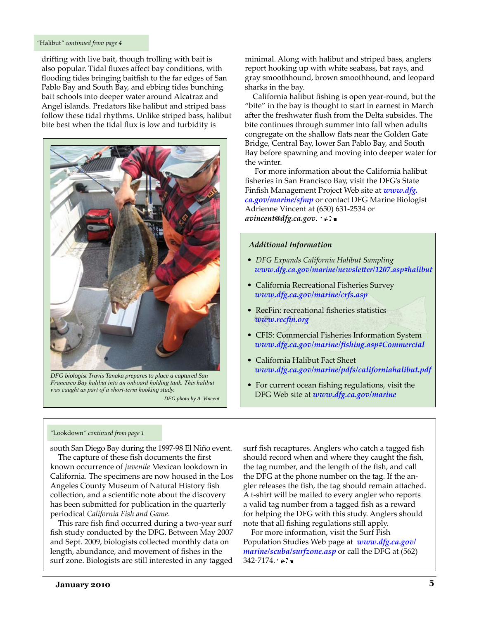#### <span id="page-4-0"></span>*"*Halibut*" continued from page 4*

drifting with live bait, though trolling with bait is also popular. Tidal fluxes affect bay conditions, with flooding tides bringing baitfish to the far edges of San Pablo Bay and South Bay, and ebbing tides bunching bait schools into deeper water around Alcatraz and Angel islands. Predators like halibut and striped bass follow these tidal rhythms. Unlike striped bass, halibut bite best when the tidal flux is low and turbidity is



*DFG biologist Travis Tanaka prepares to place a captured San Francisco Bay halibut into an onboard holding tank. This halibut was caught as part of a short-term hooking study. DFG photo by A. Vincent* 

minimal. Along with halibut and striped bass, anglers report hooking up with white seabass, bat rays, and gray smoothhound, brown smoothhound, and leopard sharks in the bay.

 California halibut fishing is open year-round, but the "bite" in the bay is thought to start in earnest in March after the freshwater flush from the Delta subsides. The bite continues through summer into fall when adults congregate on the shallow flats near the Golden Gate Bridge, Central Bay, lower San Pablo Bay, and South Bay before spawning and moving into deeper water for the winter.

 For more information about the California halibut fisheries in San Francisco Bay, visit the DFG's State Finfish Management Project Web site at *www.dfg. ca.gov/marine/sfmp* or contact DFG Marine Biologist Adrienne Vincent at (650) 631-2534 or *avincent@dfg.ca.gov*.

#### *Additional Information*

- *DFG Expands California Halibut Sampling www.dfg.ca.gov/marine/newsletter/1207.asp#halibut*
- California Recreational Fisheries Survey *www.dfg.ca.gov/marine/crfs.asp*
- RecFin: recreational fisheries statistics  *www.recfin.org*
- CFIS: Commercial Fisheries Information System  *www.dfg.ca.gov/marine/fishing.asp#Commercial*
- California Halibut Fact Sheet *www.dfg.ca.gov/marine/pdfs/californiahalibut.pdf*
- For current ocean fishing regulations, visit the DFG Web site at *www.dfg.ca.gov/marine*

#### *"*Lookdown*" continued from page 1*

south San Diego Bay during the 1997-98 El Niño event.

 The capture of these fish documents the first known occurrence of *juvenile* Mexican lookdown in California. The specimens are now housed in the Los Angeles County Museum of Natural History fish collection, and a scientific note about the discovery has been submitted for publication in the quarterly periodical *California Fish and Game*.

 This rare fish find occurred during a two-year surf fish study conducted by the DFG. Between May 2007 and Sept. 2009, biologists collected monthly data on length, abundance, and movement of fishes in the surf zone. Biologists are still interested in any tagged

surf fish recaptures. Anglers who catch a tagged fish should record when and where they caught the fish, the tag number, and the length of the fish, and call the DFG at the phone number on the tag. If the angler releases the fish, the tag should remain attached. A t-shirt will be mailed to every angler who reports a valid tag number from a tagged fish as a reward for helping the DFG with this study. Anglers should note that all fishing regulations still apply.

 For more information, visit the Surf Fish Population Studies Web page at *www.dfg.ca.gov/ marine/scuba/surfzone.asp* or call the DFG at (562)  $342 - 7174.$   $\rightarrow$   $\rightarrow$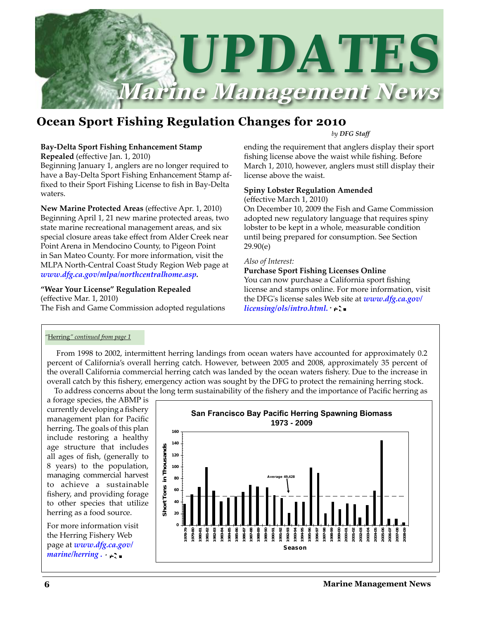<span id="page-5-0"></span>

## **Ocean Sport Fishing Regulation Changes for 2010**

#### *by DFG Staff*

#### **Bay-Delta Sport Fishing Enhancement Stamp**

**Repealed** (effective Jan. 1, 2010)

Beginning January 1, anglers are no longer required to have a Bay-Delta Sport Fishing Enhancement Stamp affixed to their Sport Fishing License to fish in Bay-Delta waters.

**New Marine Protected Areas** (effective Apr. 1, 2010) Beginning April 1, 21 new marine protected areas, two state marine recreational management areas, and six special closure areas take effect from Alder Creek near Point Arena in Mendocino County, to Pigeon Point in San Mateo County. For more information, visit the MLPA North-Central Coast Study Region Web page at *www.dfg.ca.gov/mlpa/northcentralhome.asp.*

#### **"Wear Your License" Regulation Repealed**  (effective Mar. 1, 2010)

The Fish and Game Commission adopted regulations

ending the requirement that anglers display their sport fishing license above the waist while fishing. Before March 1, 2010, however, anglers must still display their license above the waist.

#### **Spiny Lobster Regulation Amended**

(effective March 1, 2010)

On December 10, 2009 the Fish and Game Commission adopted new regulatory language that requires spiny lobster to be kept in a whole, measurable condition until being prepared for consumption. See Section 29.90(e)

#### *Also of Interest:*

#### **Purchase Sport Fishing Licenses Online**

You can now purchase a California sport fishing license and stamps online. For more information, visit the DFG's license sales Web site at *www.dfg.ca.gov/ licensing/ols/intro.html.*

#### *"*Herring*" continued from page 1*

 From 1998 to 2002, intermittent herring landings from ocean waters have accounted for approximately 0.2 percent of California's overall herring catch. However, between 2005 and 2008, approximately 35 percent of the overall California commercial herring catch was landed by the ocean waters fishery. Due to the increase in overall catch by this fishery, emergency action was sought by the DFG to protect the remaining herring stock. To address concerns about the long term sustainability of the fishery and the importance of Pacific herring as

a forage species, the ABMP is currently developing a fishery management plan for Pacific herring. The goals of this plan include restoring a healthy age structure that includes all ages of fish, (generally to 8 years) to the population, managing commercial harvest to achieve a sustainable fishery, and providing forage to other species that utilize herring as a food source.

For more information visit the Herring Fishery Web page at *www.dfg.ca.gov/ marine/herring .*

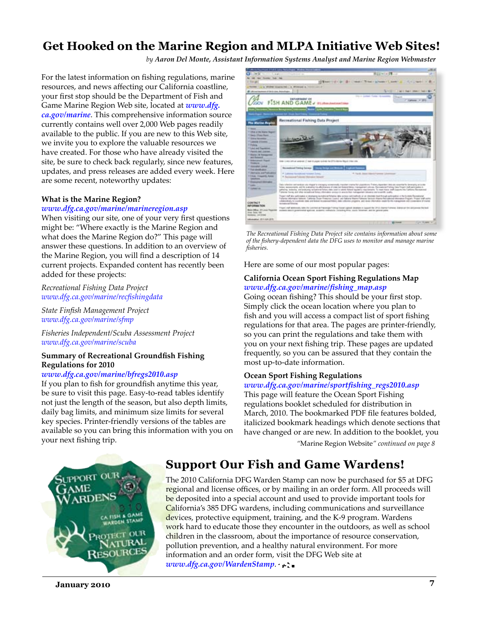# Get Hooked on the Marine Region and MLPA Initiative Web Sites!<br>by Aaron Del Monte, Assistant Information Systems Analyst and Marine Region Webmaster

For the latest information on fishing regulations, marine resources, and news affecting our California coastline, your first stop should be the Department of Fish and Game Marine Region Web site, located at *www.dfg. ca.gov/marine*. This comprehensive information source currently contains well over 2,000 Web pages readily available to the public. If you are new to this Web site, we invite you to explore the valuable resources we have created. For those who have already visited the site, be sure to check back regularly, since new features, updates, and press releases are added every week. Here are some recent, noteworthy updates:

#### **What is the Marine Region?**

#### *www.dfg.ca.gov/marine/marineregion.asp*

When visiting our site, one of your very first questions might be: "Where exactly is the Marine Region and what does the Marine Region do?" This page will answer these questions. In addition to an overview of the Marine Region, you will find a description of 14 current projects. Expanded content has recently been added for these projects:

*Recreational Fishing Data Project www.dfg.ca.gov/marine/recfishingdata*

*State Finfish Management Project www.dfg.ca.gov/marine/sfmp*

*Fisheries Independent/Scuba Assessment Project www.dfg.ca.gov/marine/scuba*

#### **Summary of Recreational Groundfish Fishing Regulations for 2010**

#### *www.dfg.ca.gov/marine/bfregs2010.asp*

If you plan to fish for groundfish anytime this year, be sure to visit this page. Easy-to-read tables identify not just the length of the season, but also depth limits, daily bag limits, and minimum size limits for several key species. Printer-friendly versions of the tables are available so you can bring this information with you on your next fishing trip.



*The Recreational Fishing Data Project site contains information about some of the fishery-dependent data the DFG uses to monitor and manage marine fisheries.* 

Here are some of our most popular pages:

#### **California Ocean Sport Fishing Regulations Map**  *www.dfg.ca.gov/marine/fishing\_map.asp*

Going ocean fishing? This should be your first stop. Simply click the ocean location where you plan to fish and you will access a compact list of sport fishing regulations for that area. The pages are printer-friendly, so you can print the regulations and take them with you on your next fishing trip. These pages are updated frequently, so you can be assured that they contain the most up-to-date information.

#### **Ocean Sport Fishing Regulations**

#### *www.dfg.ca.gov/marine/sportfishing\_regs2010.asp*

This page will feature the Ocean Sport Fishing regulations booklet scheduled for distribution in March, 2010. The bookmarked PDF file features bolded, italicized bookmark headings which denote sections that have changed or are new. In addition to the booklet, you

*"*[Marine Region Website](#page-7-0)*" continued on page 8*



## **Support Our Fish and Game Wardens!**

The 2010 California DFG Warden Stamp can now be purchased for \$5 at DFG regional and license offices, or by mailing in an order form. All proceeds will be deposited into a special account and used to provide important tools for California's 385 DFG wardens, including communications and surveillance devices, protective equipment, training, and the K-9 program. Wardens work hard to educate those they encounter in the outdoors, as well as school children in the classroom, about the importance of resource conservation, pollution prevention, and a healthy natural environment. For more information and an order form, visit the DFG Web site at *www.dfg.ca.gov/WardenStamp*.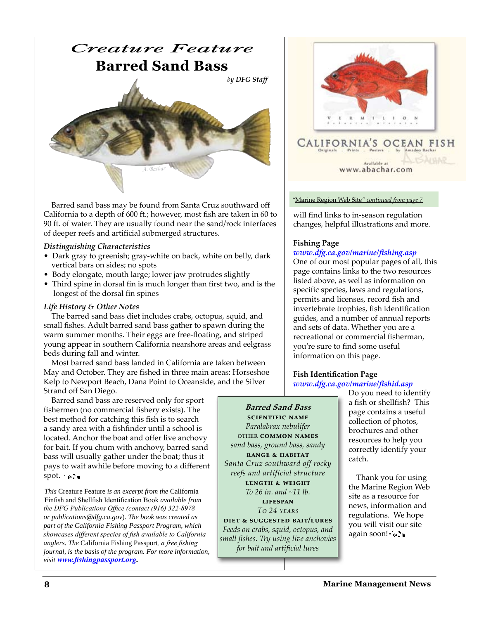<span id="page-7-0"></span>

 Barred sand bass may be found from Santa Cruz southward off California to a depth of 600 ft.; however, most fish are taken in 60 to 90 ft. of water. They are usually found near the sand/rock interfaces of deeper reefs and artificial submerged structures.

#### *Distinguishing Characteristics*

- Dark gray to greenish; gray-white on back, white on belly, dark vertical bars on sides; no spots
- Body elongate, mouth large; lower jaw protrudes slightly
- Third spine in dorsal fin is much longer than first two, and is the longest of the dorsal fin spines

#### *Life History & Other Notes*

 The barred sand bass diet includes crabs, octopus, squid, and small fishes. Adult barred sand bass gather to spawn during the warm summer months. Their eggs are free-floating, and striped young appear in southern California nearshore areas and eelgrass beds during fall and winter.

 Most barred sand bass landed in California are taken between May and October. They are fished in three main areas: Horseshoe Kelp to Newport Beach, Dana Point to Oceanside, and the Silver Strand off San Diego.

 Barred sand bass are reserved only for sport fishermen (no commercial fishery exists). The best method for catching this fish is to search a sandy area with a fishfinder until a school is located. Anchor the boat and offer live anchovy for bait. If you chum with anchovy, barred sand bass will usually gather under the boat; thus it pays to wait awhile before moving to a different spot.  $\rightarrow$  =

*This* Creature Feature *is an excerpt from the* California Finfish and Shellfish Identification Book *available from the DFG Publications Office (contact (916) 322-8978 or publications@dfg.ca.gov*). *The book was created as part of the California Fishing Passport Program, which showcases different species of fish available to California anglers. The* California Fishing Passport*, a free fishing journal, is the basis of the program. For more information, visit www.fishingpassport.org.* 

**Barred Sand Bass scientific name** *Paralabrax nebulifer* other **common names** *sand bass, ground bass, sandy* **range & habitat** *Santa Cruz southward off rocky reefs and artificial structure* **length & weight** *To 26 in. and ~11 lb.* **lifespan** *To 24 years* **diet & suggested bait/lures** *Feeds on crabs, squid, octopus, and* 

*small fishes. Try using live anchovies for bait and artificial lures*



*"*Marine Region Web Site*" continued from page 7*

will find links to in-season regulation changes, helpful illustrations and more.

#### **Fishing Page**

#### *www.dfg.ca.gov/marine/fishing.asp*

One of our most popular pages of all, this page contains links to the two resources listed above, as well as information on specific species, laws and regulations, permits and licenses, record fish and invertebrate trophies, fish identification guides, and a number of annual reports and sets of data. Whether you are a recreational or commercial fisherman, you're sure to find some useful information on this page.

## **Fish Identification Page**

*www.dfg.ca.gov/marine/fishid.asp* 

Do you need to identify a fish or shellfish? This page contains a useful collection of photos, brochures and other resources to help you correctly identify your catch.

 Thank you for using the Marine Region Web site as a resource for news, information and regulations. We hope you will visit our site again soon! era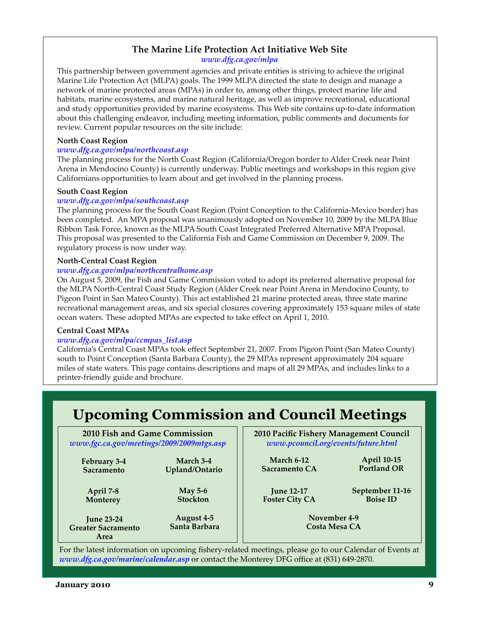#### **The Marine Life Protection Act Initiative Web Site** *www.dfg.ca.gov/mlpa*

<span id="page-8-0"></span>This partnership between government agencies and private entities is striving to achieve the original Marine Life Protection Act (MLPA) goals. The 1999 MLPA directed the state to design and manage a network of marine protected areas (MPAs) in order to, among other things, protect marine life and habitats, marine ecosystems, and marine natural heritage, as well as improve recreational, educational and study opportunities provided by marine ecosystems. This Web site contains up-to-date information about this challenging endeavor, including meeting information, public comments and documents for review. Current popular resources on the site include:

#### **North Coast Region**

#### *www.dfg.ca.gov/mlpa/northcoast.asp*

The planning process for the North Coast Region (California/Oregon border to Alder Creek near Point Arena in Mendocino County) is currently underway. Public meetings and workshops in this region give Californians opportunities to learn about and get involved in the planning process.

#### **South Coast Region**

#### *www.dfg.ca.gov/mlpa/southcoast.asp*

The planning process for the South Coast Region (Point Conception to the California-Mexico border) has been completed. An MPA proposal was unanimously adopted on November 10, 2009 by the MLPA Blue Ribbon Task Force, known as the MLPA South Coast Integrated Preferred Alternative MPA Proposal. This proposal was presented to the California Fish and Game Commission on December 9, 2009. The regulatory process is now under way.

#### **North-Central Coast Region**

#### *www.dfg.ca.gov/mlpa/northcentralhome.asp*

On August 5, 2009, the Fish and Game Commission voted to adopt its preferred alternative proposal for the MLPA North-Central Coast Study Region (Alder Creek near Point Arena in Mendocino County, to Pigeon Point in San Mateo County). This act established 21 marine protected areas, three state marine recreational management areas, and six special closures covering approximately 153 square miles of state ocean waters. These adopted MPAs are expected to take effect on April 1, 2010.

#### **Central Coast MPAs**

#### *www.dfg.ca.gov/mlpa/ccmpas\_list.asp*

California's Central Coast MPAs took effect September 21, 2007. From Pigeon Point (San Mateo County) south to Point Conception (Santa Barbara County), the 29 MPAs represent approximately 204 square miles of state waters. This page contains descriptions and maps of all 29 MPAs, and includes links to a printer-friendly guide and brochure.

## **Upcoming Commission and Council Meetings**

#### **2010 Fish and Game Commission** *www.fgc.ca.gov/meetings/2009/2009mtgs.asp*

**February 3-4 Sacramento March 3-4 Upland/Ontario**

**April 7-8 Monterey**

**May 5-6 Stockton**

**June 23-24 Greater Sacramento Area August 4-5 Santa Barbara** **2010 Pacific Fishery Management Council** *www.pcouncil.org/events/future.html*

**March 6-12 Sacramento CA**

**April 10-15 Portland OR**

**June 12-17 Foster City CA** **September 11-16 Boise ID**

**November 4-9 Costa Mesa CA**

For the latest information on upcoming fishery-related meetings, please go to our Calendar of Events at *www.dfg.ca.gov/marine/calendar.asp* or contact the Monterey DFG office at (831) 649-2870.